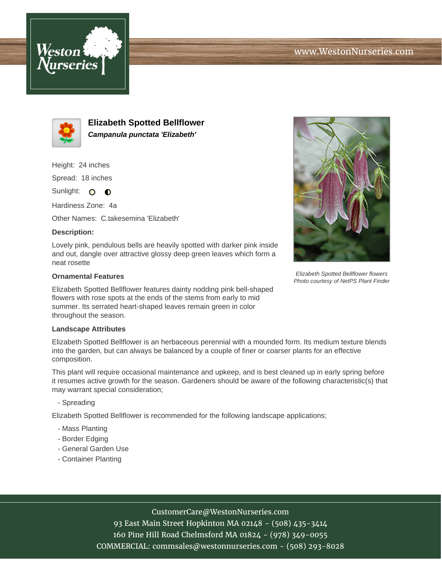



**Elizabeth Spotted Bellflower Campanula punctata 'Elizabeth'**

Height: 24 inches

Spread: 18 inches

Sunlight: O **O** 

Hardiness Zone: 4a

Other Names: C.takesemina 'Elizabeth'

## **Description:**

Lovely pink, pendulous bells are heavily spotted with darker pink inside and out, dangle over attractive glossy deep green leaves which form a neat rosette

### **Ornamental Features**

Elizabeth Spotted Bellflower features dainty nodding pink bell-shaped flowers with rose spots at the ends of the stems from early to mid summer. Its serrated heart-shaped leaves remain green in color throughout the season.

#### **Landscape Attributes**

Elizabeth Spotted Bellflower is an herbaceous perennial with a mounded form. Its medium texture blends into the garden, but can always be balanced by a couple of finer or coarser plants for an effective composition.

This plant will require occasional maintenance and upkeep, and is best cleaned up in early spring before it resumes active growth for the season. Gardeners should be aware of the following characteristic(s) that may warrant special consideration;

## - Spreading

Elizabeth Spotted Bellflower is recommended for the following landscape applications;

- Mass Planting
- Border Edging
- General Garden Use
- Container Planting



Elizabeth Spotted Bellflower flowers Photo courtesy of NetPS Plant Finder

CustomerCare@WestonNurseries.com

93 East Main Street Hopkinton MA 02148 - (508) 435-3414 160 Pine Hill Road Chelmsford MA 01824 - (978) 349-0055 COMMERCIAL: commsales@westonnurseries.com - (508) 293-8028